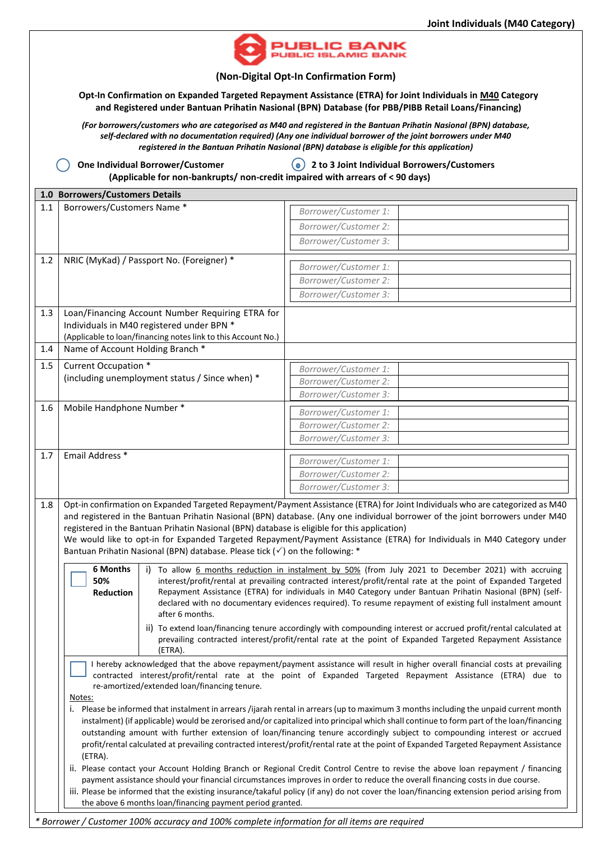

**(Non-Digital Opt-In Confirmation Form)**

**Opt-In Confirmation on Expanded Targeted Repayment Assistance (ETRA) for Joint Individuals in M40 Category and Registered under Bantuan Prihatin Nasional (BPN) Database (for PBB/PIBB Retail Loans/Financing)**

*(For borrowers/customers who are categorised as M40 and registered in the Bantuan Prihatin Nasional (BPN) database, self-declared with no documentation required) (Any one individual borrower of the joint borrowers under M40 registered in the Bantuan Prihatin Nasional (BPN) database is eligible for this application)*

**One Individual Borrower/Customer 2 to 3 Joint Individual Borrowers/Customers** 

**(Applicable for non-bankrupts/ non-credit impaired with arrears of < 90 days) 1.0 Borrowers/Customers Details** 1.1 Borrowers/Customers Name \* *Borrower/Customer* 1: *Borrower/Customer 2: Borrower/Customer 3:*  1.2 NRIC (MyKad) / Passport No. (Foreigner) \* *Borrower/Customer 1: Borrower/Customer 2: Borrower/Customer 3:*  1.3 Loan/Financing Account Number Requiring ETRA for Individuals in M40 registered under BPN \* (Applicable to loan/financing notes link to this Account No.) 1.4 | Name of Account Holding Branch \* 1.5 Current Occupation \* (including unemployment status / Since when) \* *Borrower/Customer 1: Borrower/Customer 2: Borrower/Customer 3:*  1.6 Mobile Handphone Number \* *Borrower/Customer* 1: *Borrower/Customer 2: Borrower/Customer 3:*  1.7 **Email Address \* Borrower/Customer** 1: *Borrower/Customer 2: Borrower/Customer 3:*  1.8 Opt-in confirmation on Expanded Targeted Repayment/Payment Assistance (ETRA) for Joint Individuals who are categorized as M40 and registered in the Bantuan Prihatin Nasional (BPN) database. (Any one individual borrower of the joint borrowers under M40 registered in the Bantuan Prihatin Nasional (BPN) database is eligible for this application) We would like to opt-in for Expanded Targeted Repayment/Payment Assistance (ETRA) for Individuals in M40 Category under Bantuan Prihatin Nasional (BPN) database. Please tick  $(\checkmark)$  on the following: \* **6 Months**  i) To allow 6 months reduction in instalment by 50% (from July 2021 to December 2021) with accruing

**50% Reduction** interest/profit/rental at prevailing contracted interest/profit/rental rate at the point of Expanded Targeted Repayment Assistance (ETRA) for individuals in M40 Category under Bantuan Prihatin Nasional (BPN) (selfdeclared with no documentary evidences required). To resume repayment of existing full instalment amount after 6 months.

- ii) To extend loan/financing tenure accordingly with compounding interest or accrued profit/rental calculated at prevailing contracted interest/profit/rental rate at the point of Expanded Targeted Repayment Assistance (ETRA).
- I hereby acknowledged that the above repayment/payment assistance will result in higher overall financial costs at prevailing contracted interest/profit/rental rate at the point of Expanded Targeted Repayment Assistance (ETRA) due to re-amortized/extended loan/financing tenure.

Notes:

i. Please be informed that instalment in arrears /ijarah rental in arrears (up to maximum 3 months including the unpaid current month instalment) (if applicable) would be zerorised and/or capitalized into principal which shall continue to form part of the loan/financing outstanding amount with further extension of loan/financing tenure accordingly subject to compounding interest or accrued profit/rental calculated at prevailing contracted interest/profit/rental rate at the point of Expanded Targeted Repayment Assistance (ETRA).

ii. Please contact your Account Holding Branch or Regional Credit Control Centre to revise the above loan repayment / financing payment assistance should your financial circumstances improves in order to reduce the overall financing costs in due course.

iii. Please be informed that the existing insurance/takaful policy (if any) do not cover the loan/financing extension period arising from the above 6 months loan/financing payment period granted.

*\* Borrower / Customer 100% accuracy and 100% complete information for all items are required*